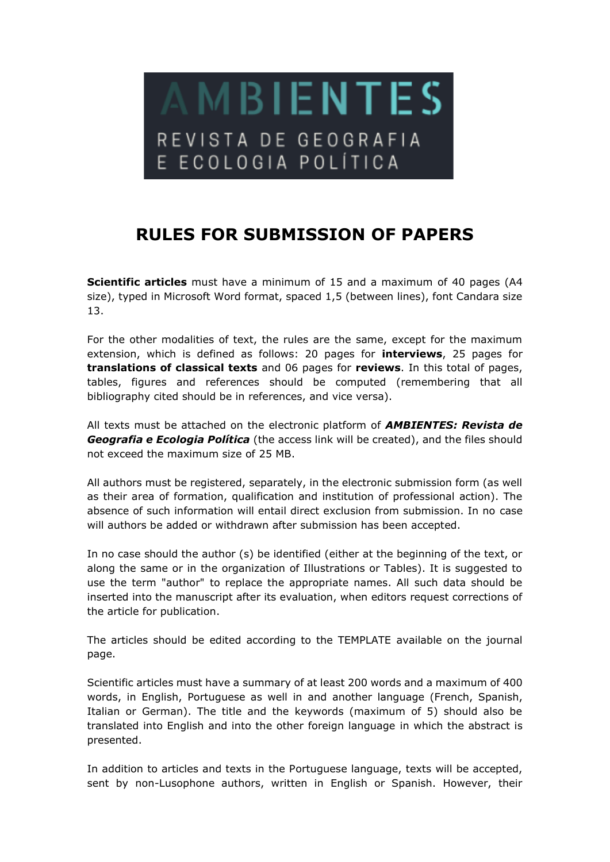

## **RULES FOR SUBMISSION OF PAPERS**

**Scientific articles** must have a minimum of 15 and a maximum of 40 pages (A4 size), typed in Microsoft Word format, spaced 1,5 (between lines), font Candara size 13.

For the other modalities of text, the rules are the same, except for the maximum extension, which is defined as follows: 20 pages for **interviews**, 25 pages for **translations of classical texts** and 06 pages for **reviews**. In this total of pages, tables, figures and references should be computed (remembering that all bibliography cited should be in references, and vice versa).

All texts must be attached on the electronic platform of *AMBIENTES: Revista de Geografia e Ecologia Política* (the access link will be created), and the files should not exceed the maximum size of 25 MB.

All authors must be registered, separately, in the electronic submission form (as well as their area of formation, qualification and institution of professional action). The absence of such information will entail direct exclusion from submission. In no case will authors be added or withdrawn after submission has been accepted.

In no case should the author (s) be identified (either at the beginning of the text, or along the same or in the organization of Illustrations or Tables). It is suggested to use the term "author" to replace the appropriate names. All such data should be inserted into the manuscript after its evaluation, when editors request corrections of the article for publication.

The articles should be edited according to the TEMPLATE available on the journal page.

Scientific articles must have a summary of at least 200 words and a maximum of 400 words, in English, Portuguese as well in and another language (French, Spanish, Italian or German). The title and the keywords (maximum of 5) should also be translated into English and into the other foreign language in which the abstract is presented.

In addition to articles and texts in the Portuguese language, texts will be accepted, sent by non-Lusophone authors, written in English or Spanish. However, their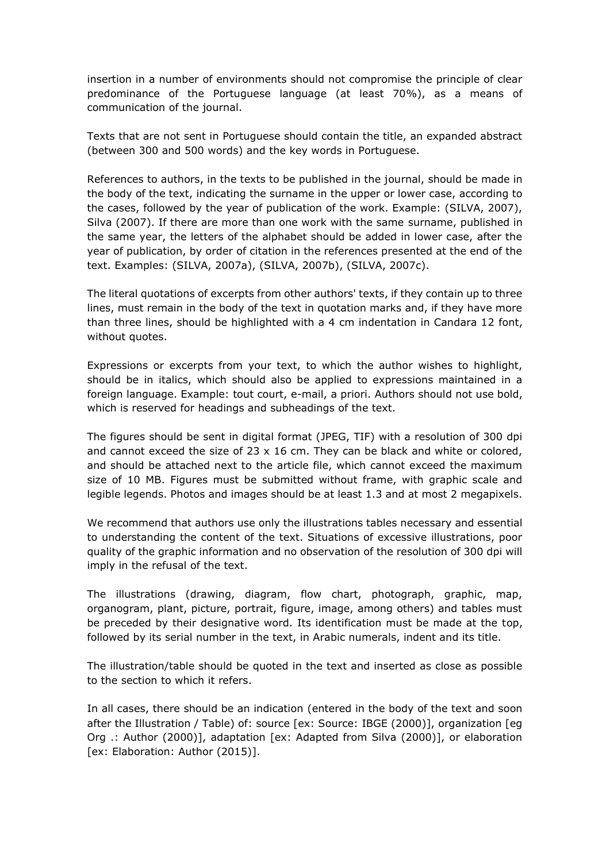insertion in a number of environments should not compromise the principle of clear predominance of the Portuguese language (at least 70%), as a means of communication of the journal.

Texts that are not sent in Portuguese should contain the title, an expanded abstract (between 300 and 500 words) and the key words in Portuguese.

References to authors, in the texts to be published in the journal, should be made in the body of the text, indicating the surname in the upper or lower case, according to the cases, followed by the year of publication of the work. Example: (SILVA, 2007), Silva (2007). If there are more than one work with the same surname, published in the same year, the letters of the alphabet should be added in lower case, after the year of publication, by order of citation in the references presented at the end of the text. Examples: (SILVA, 2007a), (SILVA, 2007b), (SILVA, 2007c).

The literal quotations of excerpts from other authors' texts, if they contain up to three lines, must remain in the body of the text in quotation marks and, if they have more than three lines, should be highlighted with a 4 cm indentation in Candara 12 font, without quotes.

Expressions or excerpts from your text, to which the author wishes to highlight, should be in italics, which should also be applied to expressions maintained in a foreign language. Example: tout court, e-mail, a priori. Authors should not use bold, which is reserved for headings and subheadings of the text.

The figures should be sent in digital format (JPEG, TIF) with a resolution of 300 dpi and cannot exceed the size of  $23 \times 16$  cm. They can be black and white or colored, and should be attached next to the article file, which cannot exceed the maximum size of 10 MB. Figures must be submitted without frame, with graphic scale and legible legends. Photos and images should be at least 1.3 and at most 2 megapixels.

We recommend that authors use only the illustrations tables necessary and essential to understanding the content of the text. Situations of excessive illustrations, poor quality of the graphic information and no observation of the resolution of 300 dpi will imply in the refusal of the text.

The illustrations (drawing, diagram, flow chart, photograph, graphic, map, organogram, plant, picture, portrait, figure, image, among others) and tables must be preceded by their designative word. Its identification must be made at the top, followed by its serial number in the text, in Arabic numerals, indent and its title.

The illustration/table should be quoted in the text and inserted as close as possible to the section to which it refers.

In all cases, there should be an indication (entered in the body of the text and soon after the Illustration / Table) of: source [ex: Source: IBGE (2000)], organization [eg Org .: Author (2000)], adaptation [ex: Adapted from Silva (2000)], or elaboration [ex: Elaboration: Author (2015)].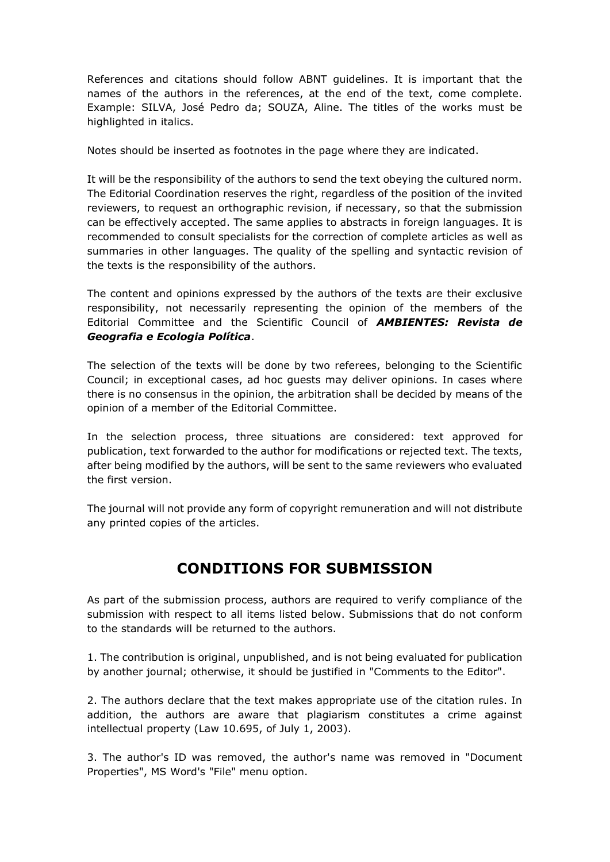References and citations should follow ABNT guidelines. It is important that the names of the authors in the references, at the end of the text, come complete. Example: SILVA, José Pedro da; SOUZA, Aline. The titles of the works must be highlighted in italics.

Notes should be inserted as footnotes in the page where they are indicated.

It will be the responsibility of the authors to send the text obeying the cultured norm. The Editorial Coordination reserves the right, regardless of the position of the invited reviewers, to request an orthographic revision, if necessary, so that the submission can be effectively accepted. The same applies to abstracts in foreign languages. It is recommended to consult specialists for the correction of complete articles as well as summaries in other languages. The quality of the spelling and syntactic revision of the texts is the responsibility of the authors.

The content and opinions expressed by the authors of the texts are their exclusive responsibility, not necessarily representing the opinion of the members of the Editorial Committee and the Scientific Council of *AMBIENTES: Revista de Geografia e Ecologia Política*.

The selection of the texts will be done by two referees, belonging to the Scientific Council; in exceptional cases, ad hoc guests may deliver opinions. In cases where there is no consensus in the opinion, the arbitration shall be decided by means of the opinion of a member of the Editorial Committee.

In the selection process, three situations are considered: text approved for publication, text forwarded to the author for modifications or rejected text. The texts, after being modified by the authors, will be sent to the same reviewers who evaluated the first version.

The journal will not provide any form of copyright remuneration and will not distribute any printed copies of the articles.

## **CONDITIONS FOR SUBMISSION**

As part of the submission process, authors are required to verify compliance of the submission with respect to all items listed below. Submissions that do not conform to the standards will be returned to the authors.

1. The contribution is original, unpublished, and is not being evaluated for publication by another journal; otherwise, it should be justified in "Comments to the Editor".

2. The authors declare that the text makes appropriate use of the citation rules. In addition, the authors are aware that plagiarism constitutes a crime against intellectual property (Law 10.695, of July 1, 2003).

3. The author's ID was removed, the author's name was removed in "Document Properties", MS Word's "File" menu option.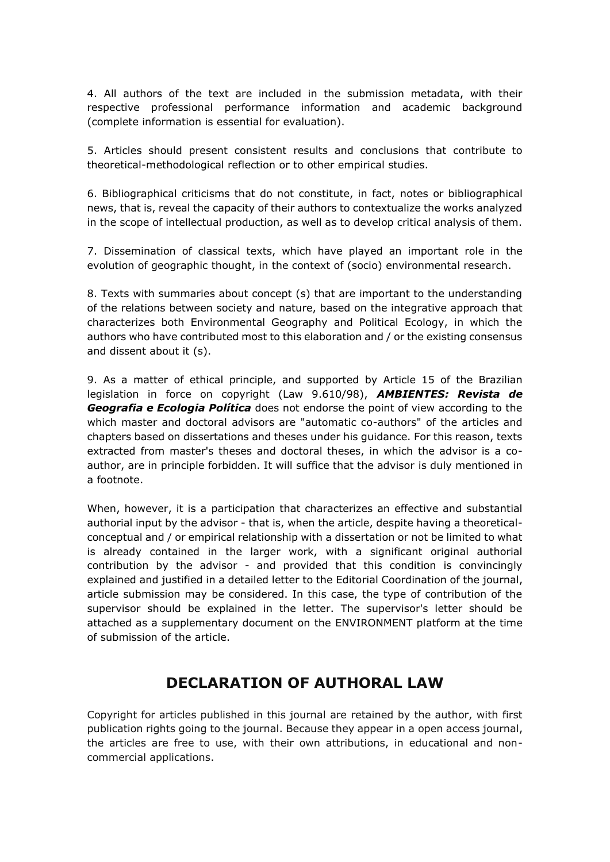4. All authors of the text are included in the submission metadata, with their respective professional performance information and academic background (complete information is essential for evaluation).

5. Articles should present consistent results and conclusions that contribute to theoretical-methodological reflection or to other empirical studies.

6. Bibliographical criticisms that do not constitute, in fact, notes or bibliographical news, that is, reveal the capacity of their authors to contextualize the works analyzed in the scope of intellectual production, as well as to develop critical analysis of them.

7. Dissemination of classical texts, which have played an important role in the evolution of geographic thought, in the context of (socio) environmental research.

8. Texts with summaries about concept (s) that are important to the understanding of the relations between society and nature, based on the integrative approach that characterizes both Environmental Geography and Political Ecology, in which the authors who have contributed most to this elaboration and / or the existing consensus and dissent about it (s).

9. As a matter of ethical principle, and supported by Article 15 of the Brazilian legislation in force on copyright (Law 9.610/98), *AMBIENTES: Revista de Geografia e Ecologia Política* does not endorse the point of view according to the which master and doctoral advisors are "automatic co-authors" of the articles and chapters based on dissertations and theses under his guidance. For this reason, texts extracted from master's theses and doctoral theses, in which the advisor is a coauthor, are in principle forbidden. It will suffice that the advisor is duly mentioned in a footnote.

When, however, it is a participation that characterizes an effective and substantial authorial input by the advisor - that is, when the article, despite having a theoreticalconceptual and / or empirical relationship with a dissertation or not be limited to what is already contained in the larger work, with a significant original authorial contribution by the advisor - and provided that this condition is convincingly explained and justified in a detailed letter to the Editorial Coordination of the journal, article submission may be considered. In this case, the type of contribution of the supervisor should be explained in the letter. The supervisor's letter should be attached as a supplementary document on the ENVIRONMENT platform at the time of submission of the article.

## **DECLARATION OF AUTHORAL LAW**

Copyright for articles published in this journal are retained by the author, with first publication rights going to the journal. Because they appear in a open access journal, the articles are free to use, with their own attributions, in educational and noncommercial applications.